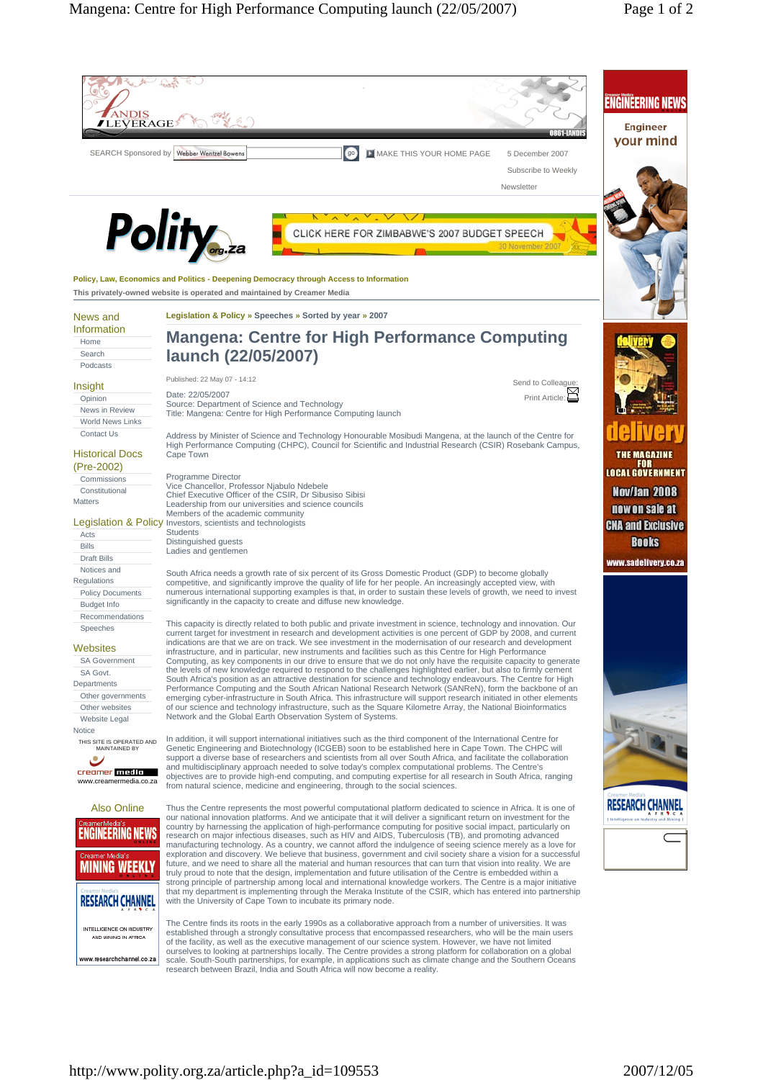